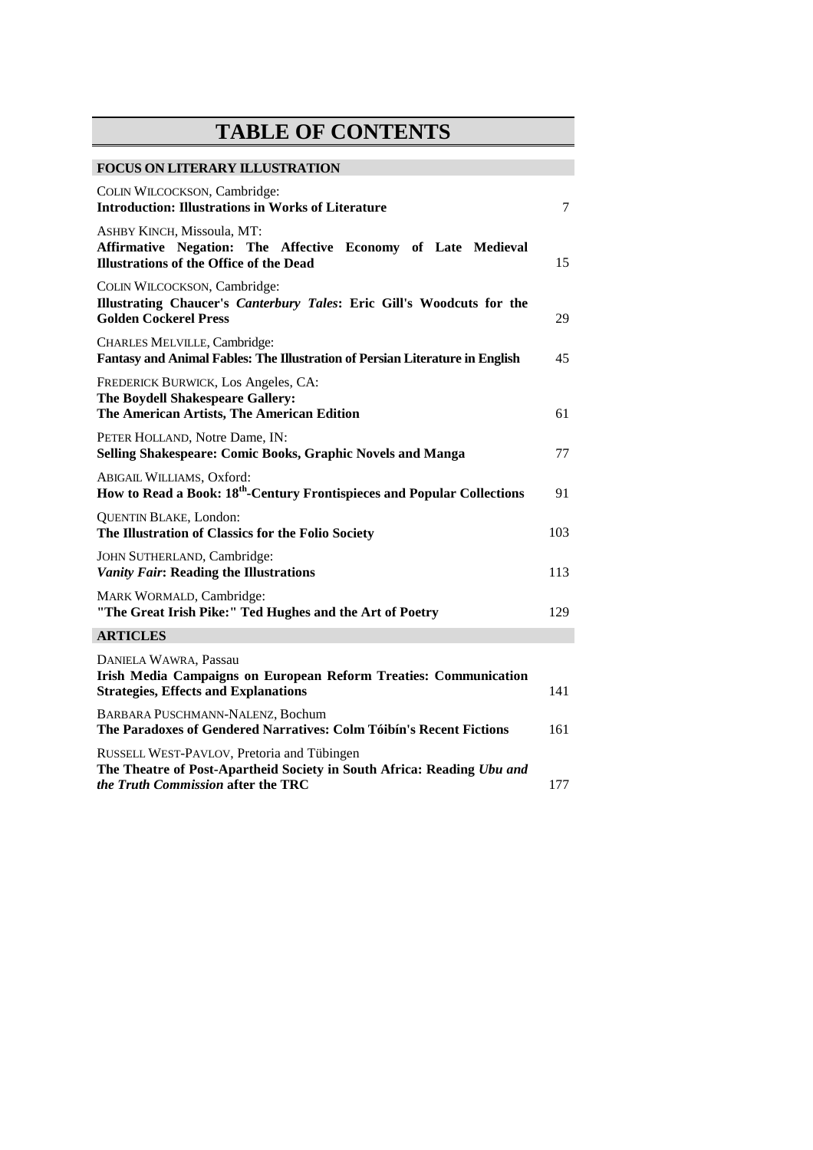## **TABLE OF CONTENTS**

## **FOCUS ON LITERARY ILLUSTRATION**

| COLIN WILCOCKSON, Cambridge:<br><b>Introduction: Illustrations in Works of Literature</b>                                                                  | $\tau$ |
|------------------------------------------------------------------------------------------------------------------------------------------------------------|--------|
| ASHBY KINCH, Missoula, MT:<br>Affirmative Negation: The Affective Economy of Late Medieval<br><b>Illustrations of the Office of the Dead</b>               | 15     |
| COLIN WILCOCKSON, Cambridge:<br>Illustrating Chaucer's Canterbury Tales: Eric Gill's Woodcuts for the<br><b>Golden Cockerel Press</b>                      | 29     |
| CHARLES MELVILLE, Cambridge:<br>Fantasy and Animal Fables: The Illustration of Persian Literature in English                                               | 45     |
| FREDERICK BURWICK, Los Angeles, CA:<br>The Boydell Shakespeare Gallery:<br>The American Artists, The American Edition                                      | 61     |
| PETER HOLLAND, Notre Dame, IN:<br>Selling Shakespeare: Comic Books, Graphic Novels and Manga                                                               | 77     |
| ABIGAIL WILLIAMS, Oxford:<br>How to Read a Book: 18 <sup>th</sup> -Century Frontispieces and Popular Collections                                           | 91     |
| <b>QUENTIN BLAKE, London:</b><br>The Illustration of Classics for the Folio Society                                                                        | 103    |
| JOHN SUTHERLAND, Cambridge:<br><b>Vanity Fair: Reading the Illustrations</b>                                                                               | 113    |
| MARK WORMALD, Cambridge:<br>"The Great Irish Pike:" Ted Hughes and the Art of Poetry                                                                       | 129    |
| <b>ARTICLES</b>                                                                                                                                            |        |
| <b>DANIELA WAWRA, Passau</b><br>Irish Media Campaigns on European Reform Treaties: Communication<br><b>Strategies, Effects and Explanations</b>            | 141    |
| BARBARA PUSCHMANN-NALENZ, Bochum<br>The Paradoxes of Gendered Narratives: Colm Tóibín's Recent Fictions                                                    | 161    |
| RUSSELL WEST-PAVLOV, Pretoria and Tübingen<br>The Theatre of Post-Apartheid Society in South Africa: Reading Ubu and<br>the Truth Commission after the TRC | 177    |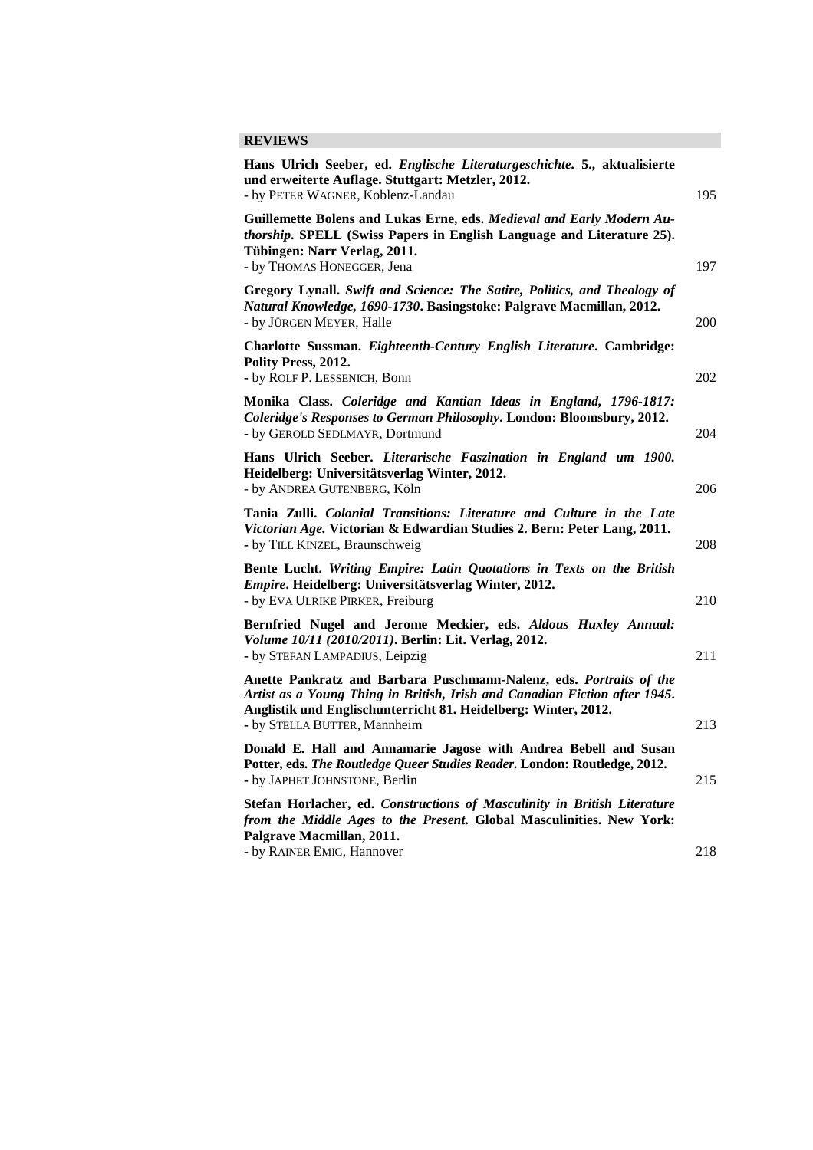## **REVIEWS**

| Hans Ulrich Seeber, ed. Englische Literaturgeschichte. 5., aktualisierte<br>und erweiterte Auflage. Stuttgart: Metzler, 2012.<br>- by PETER WAGNER, Koblenz-Landau                                                                                  | 195 |
|-----------------------------------------------------------------------------------------------------------------------------------------------------------------------------------------------------------------------------------------------------|-----|
| Guillemette Bolens and Lukas Erne, eds. Medieval and Early Modern Au-<br>thorship. SPELL (Swiss Papers in English Language and Literature 25).<br>Tübingen: Narr Verlag, 2011.<br>- by THOMAS HONEGGER, Jena                                        | 197 |
| Gregory Lynall. Swift and Science: The Satire, Politics, and Theology of<br>Natural Knowledge, 1690-1730. Basingstoke: Palgrave Macmillan, 2012.<br>- by JÜRGEN MEYER, Halle                                                                        | 200 |
| Charlotte Sussman. Eighteenth-Century English Literature. Cambridge:<br>Polity Press, 2012.<br>- by ROLF P. LESSENICH, Bonn                                                                                                                         | 202 |
| Monika Class. Coleridge and Kantian Ideas in England, 1796-1817:<br>Coleridge's Responses to German Philosophy. London: Bloomsbury, 2012.<br>- by GEROLD SEDLMAYR, Dortmund                                                                         | 204 |
| Hans Ulrich Seeber. Literarische Faszination in England um 1900.<br>Heidelberg: Universitätsverlag Winter, 2012.<br>- by ANDREA GUTENBERG, Köln                                                                                                     | 206 |
| Tania Zulli. Colonial Transitions: Literature and Culture in the Late<br>Victorian Age. Victorian & Edwardian Studies 2. Bern: Peter Lang, 2011.<br>- by TILL KINZEL, Braunschweig                                                                  | 208 |
| Bente Lucht. Writing Empire: Latin Quotations in Texts on the British<br>Empire. Heidelberg: Universitätsverlag Winter, 2012.<br>- by EVA ULRIKE PIRKER, Freiburg                                                                                   | 210 |
| Bernfried Nugel and Jerome Meckier, eds. Aldous Huxley Annual:<br>Volume 10/11 (2010/2011). Berlin: Lit. Verlag, 2012.<br>- by STEFAN LAMPADIUS, Leipzig                                                                                            | 211 |
| Anette Pankratz and Barbara Puschmann-Nalenz, eds. Portraits of the<br>Artist as a Young Thing in British, Irish and Canadian Fiction after 1945.<br>Anglistik und Englischunterricht 81. Heidelberg: Winter, 2012.<br>- by STELLA BUTTER, Mannheim | 213 |
| Donald E. Hall and Annamarie Jagose with Andrea Bebell and Susan<br>Potter, eds. The Routledge Queer Studies Reader. London: Routledge, 2012.<br>- by JAPHET JOHNSTONE, Berlin                                                                      | 215 |
| Stefan Horlacher, ed. Constructions of Masculinity in British Literature<br>from the Middle Ages to the Present. Global Masculinities. New York:<br>Palgrave Macmillan, 2011.                                                                       |     |
| - by RAINER EMIG, Hannover                                                                                                                                                                                                                          | 218 |
|                                                                                                                                                                                                                                                     |     |